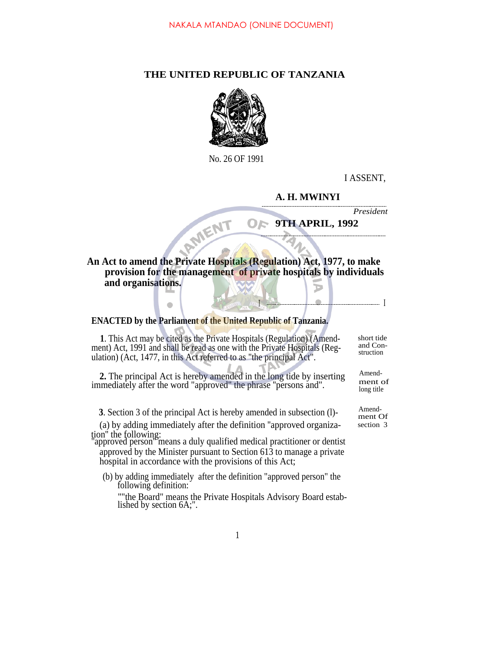## **THE UNITED REPUBLIC OF TANZANIA**



No. 26 OF 1991

I ASSENT,

## **A. H. MWINYI**

*President*

## OF **9TH APRIL, 1992**

I I

## **An Act to amend the Private Hospitals (Regulation) Act, 1977, to make provision for the management of private hospitals by individuals and organisations.** D

**ENACTED by the Parliament of the United Republic of Tanzania.**

 $\bullet$ 

MENT

**1**. This Act may be cited as the Private Hospitals (Regulation) (Amendment) Act, 1991 and shall be read as one with the Private Hospitals (Regulation) (Act, 1477, in this Act referred to as "the principal Act".

2. The principal Act is hereby amended in the long tide by inserting Amend-<br>mediately often the word "approved" the phases "acrosses and" ment of immediately after the word "approved" the phrase "persons and".

**3**. Section 3 of the principal Act is hereby amended in subsection (l)-<br>ment Of

(a) by adding immediately after the definition ''approved organiza- section 3 tion'' the following:

''approved person'' means a duly qualified medical practitioner or dentist approved by the Minister pursuant to Section 613 to manage a private hospital in accordance with the provisions of this Act;

(b) by adding immediately after the definition "approved person" the following definition:

""the Board" means the Private Hospitals Advisory Board established by section 6A;".

short tide and Construction

long title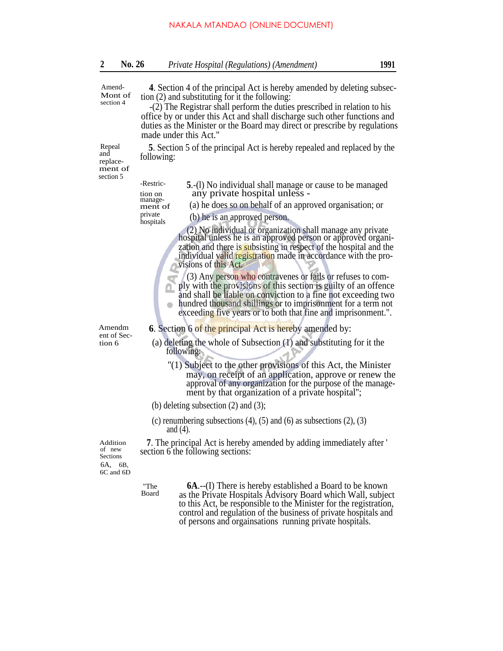| <b>No. 26</b> | Private Hospital (Regulations) (Amendment) | 1991 |
|---------------|--------------------------------------------|------|
|               |                                            |      |

| Amend-<br>Mont of<br>section 4                    | 4. Section 4 of the principal Act is hereby amended by deleting subsec-<br>tion $(2)$ and substituting for it the following:<br>-(2) The Registrar shall perform the duties prescribed in relation to his<br>office by or under this Act and shall discharge such other functions and<br>duties as the Minister or the Board may direct or prescribe by regulations<br>made under this Act."                                                                                                                                                                                                                              |  |  |
|---------------------------------------------------|---------------------------------------------------------------------------------------------------------------------------------------------------------------------------------------------------------------------------------------------------------------------------------------------------------------------------------------------------------------------------------------------------------------------------------------------------------------------------------------------------------------------------------------------------------------------------------------------------------------------------|--|--|
| Repeal<br>and<br>replace-<br>ment of<br>section 5 | 5. Section 5 of the principal Act is hereby repealed and replaced by the<br>following:                                                                                                                                                                                                                                                                                                                                                                                                                                                                                                                                    |  |  |
|                                                   | -Restric-<br>5.-(1) No individual shall manage or cause to be managed<br>any private hospital unless -<br>tion on                                                                                                                                                                                                                                                                                                                                                                                                                                                                                                         |  |  |
|                                                   | manage-<br>(a) he does so on behalf of an approved organisation; or<br>ment of                                                                                                                                                                                                                                                                                                                                                                                                                                                                                                                                            |  |  |
|                                                   | private<br>(b) he is an approved person.<br>hospitals                                                                                                                                                                                                                                                                                                                                                                                                                                                                                                                                                                     |  |  |
|                                                   | (2) No individual or organization shall manage any private hospital unless he is an approved person or approved organi-<br>zation and there is subsisting in respect of the hospital and the<br>individual valid registration made in accordance with the pro-<br>visions of this Act.<br>(3) Any person who contravenes or fails or refuses to com-<br>ply with the provisions of this section is guilty of an offence<br>and shall be liable on conviction to a fine not exceeding two<br>hundred thousand shillings or to imprisonment for a term not<br>exceeding five years or to both that fine and imprisonment.". |  |  |
| Amendm<br>ent of Sec-                             | <b>6.</b> Section 6 of the principal Act is hereby amended by:                                                                                                                                                                                                                                                                                                                                                                                                                                                                                                                                                            |  |  |
| tion 6                                            | (a) deleting the whole of Subsection (1) and substituting for it the<br>following:                                                                                                                                                                                                                                                                                                                                                                                                                                                                                                                                        |  |  |
|                                                   | "(1) Subject to the other provisions of this Act, the Minister<br>may, on receipt of an application, approve or renew the<br>approval of any organization for the purpose of the manage-<br>ment by that organization of a private hospital";                                                                                                                                                                                                                                                                                                                                                                             |  |  |
|                                                   | (b) deleting subsection $(2)$ and $(3)$ ;                                                                                                                                                                                                                                                                                                                                                                                                                                                                                                                                                                                 |  |  |
|                                                   | (c) renumbering subsections $(4)$ , $(5)$ and $(6)$ as subsections $(2)$ , $(3)$<br>and $(4)$ .                                                                                                                                                                                                                                                                                                                                                                                                                                                                                                                           |  |  |
| Addition                                          | <b>7</b> . The principal Act is hereby amended by adding immediately after '                                                                                                                                                                                                                                                                                                                                                                                                                                                                                                                                              |  |  |

**7**. The principal Act is hereby amended by adding immediately after ' section 6 the following sections:

of new Sections 6A, 6B, 6C and 6D

> "The Board

**6A**.--(I) There is hereby established a Board to be known as the Private Hospitals Advisory Board which Wall, subject to this Act, be responsible to the Minister for the registration, control and regulation of the business of private hospitals and of persons and orgainsations running private hospitals.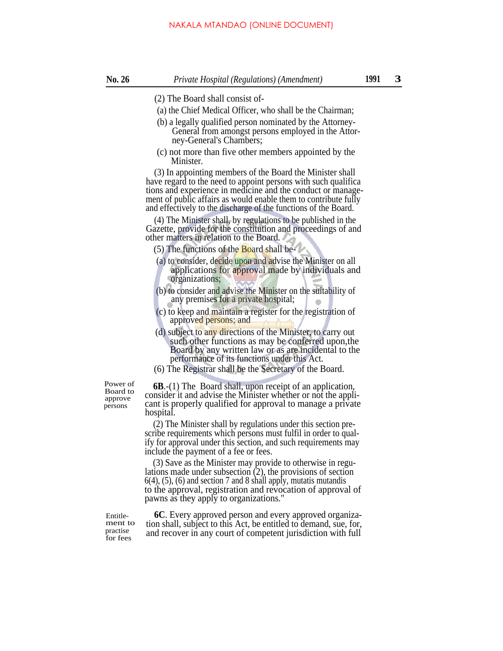- 
- (2) The Board shall consist of-
- (a) the Chief Medical Officer, who shall be the Chairman;
- (b) a legally qualified person nominated by the Attorney-General from amongst persons employed in the Attorney-General's Chambers;
- (c) not more than five other members appointed by the Minister.

(3) In appointing members of the Board the Minister shall have regard to the need to appoint persons with such qualifica tions and experience in medicine and the conduct or management of public affairs as would enable them to contribute fully and effectively to the discharge of the functions of the Board.

(4) The Minister shall, by regulations to be published in the Gazette, provide for the constitution and proceedings of and other matters in relation to the Board.

- (5) The functions of the **Board** shall be-
- (a) to consider, decide upon and advise the Minister on all applications for approval made by individuals and organizations;
- (b) to consider and advise the Minister on the suitability of any premises for a private hospital;
- (c) to keep and maintain a register for the registration of approved persons; and
- (d) subject to any directions of the Minister, to carry out such other functions as may be conferred upon,the Board by any written law or as are incidental to the performance of its functions under this Act.
- (6) The Registrar shall be the Secretary of the Board.

Board to approve persons

Power of **6B**.-(1) The Board shall, upon receipt of an application, consider it and advise the Minister whether or not the applicant is properly qualified for approval to manage a private hospital.

> (2) The Minister shall by regulations under this section prescribe requirements which persons must fulfil in order to qualify for approval under this section, and such requirements may include the payment of a fee or fees.

> (3) Save as the Minister may provide to otherwise in regulations made under subsection (2), the provisions of section  $6(4)$ ,  $(5)$ ,  $(6)$  and section 7 and 8 shall apply, mutatis mutandis to the approval, registration and revocation of approval of pawns as they apply to organizations."

Entitlement to practise for fees

**6C**. Every approved person and every approved organization shall, subject to this Act, be entitled to demand, sue, for, and recover in any court of competent jurisdiction with full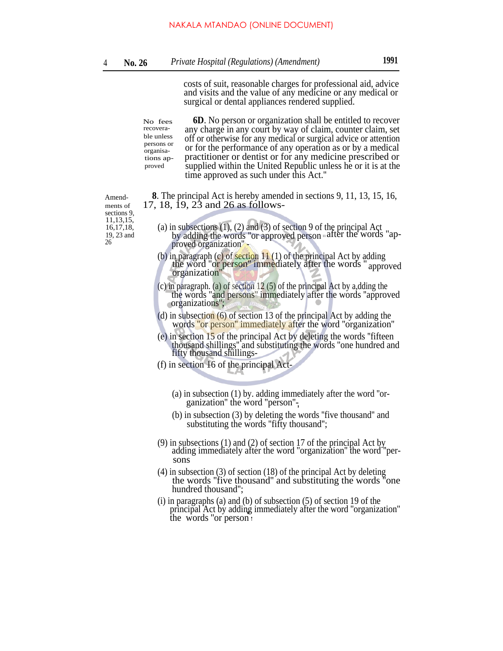costs of suit, reasonable charges for professional aid, advice and visits and the value of any medicine or any medical or surgical or dental appliances rendered supplied.

**6D**. No person or organization shall be entitled to recover any charge in any court by way of claim, counter claim, set off or otherwise for any medical or surgical advice or attention or for the performance of any operation as or by a medical practitioner or dentist or for any medicine prescribed or supplied within the United Republic unless he or it is at the time approved as such under this Act.'' No fees recoverable unless persons or organisations ap-**INAKALA MTANDAO** (ONLINE DOCUMENT)<br> *Private Hospital (Regulations) (Amendment)*<br>
costs of suit, reasonable charges for profee<br>
and visits and the value of any medicine<br>
surgical or dental appliances rendered sup<br>
any ch

Amend- **8**. The principal Act is hereby amended in sections 9, 11, 13, 15, 16, ments of 17, 18, 19, 23 and 26 as follows-

sections 9, 11,13,15,<br>16,17,18, proved

- 16,17,18, (a) in subsections (1), (2) and (3) of section 9 of the principal Act 19, 23 and by adding the words "or approved person after the words" 19, 23 and by adding the words "or approved person  $\frac{1}{4}$  after the words "ap-<br>26 proved organization".
	- (b) in paragraph (c) of section  $11(1)$  of the principal Act by adding the word ''or person'' immediately after the words '' approved organization''
	- (c) in paragraph. (a) of section 12 (5) of the principal Act by a,dding the the words ''and persons'' immediately after the words ''approved organizations'';
	- (d) in subsection (6) of section 13 of the principal Act by adding the words ''or person'' immediately after the word ''organization''
	- (e) in section 15 of the principal Act by deleting the words ''fifteen thousand shillings'' and substituting the words ''one hundred and fifty thousand shillings-
	- (f) in section 16 of the principal Act-
		- (a) in subsection (1) by. adding immediately after the word ''organization" the word "person"-
		- (b) in subsection (3) by deleting the words ''five thousand'' and substituting the words "fifty thousand";
	- (9) in subsections (1) and (2) of section 17 of the principal Act by adding immediately after the word ''organization'' the word ''persons
	- (4) in subsection (3) of section (18) of the principal Act by deleting the words ''five thousand'' and substituting the words ''one hundred thousand'';
	- (i) in paragraphs (a) and (b) of subsection (5) of section 19 of the principal Act by adding immediately after the word "organization" the words "or person i